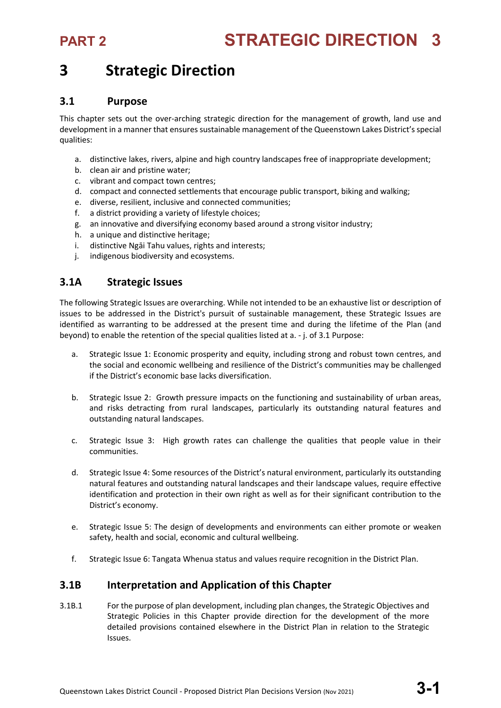## **3 Strategic Direction**

### **3.1 Purpose**

This chapter sets out the over-arching strategic direction for the management of growth, land use and development in a manner that ensures sustainable management of the Queenstown Lakes District's special qualities:

- a. distinctive lakes, rivers, alpine and high country landscapes free of inappropriate development;
- b. clean air and pristine water;
- c. vibrant and compact town centres;
- d. compact and connected settlements that encourage public transport, biking and walking;
- e. diverse, resilient, inclusive and connected communities;
- f. a district providing a variety of lifestyle choices;
- g. an innovative and diversifying economy based around a strong visitor industry;
- h. a unique and distinctive heritage;
- i. distinctive Ngāi Tahu values, rights and interests;
- j. indigenous biodiversity and ecosystems.

## **3.1A Strategic Issues**

The following Strategic Issues are overarching. While not intended to be an exhaustive list or description of issues to be addressed in the District's pursuit of sustainable management, these Strategic Issues are identified as warranting to be addressed at the present time and during the lifetime of the Plan (and beyond) to enable the retention of the special qualities listed at a. - j. of 3.1 Purpose:

- a. Strategic Issue 1: Economic prosperity and equity, including strong and robust town centres, and the social and economic wellbeing and resilience of the District's communities may be challenged if the District's economic base lacks diversification.
- b. Strategic Issue 2: Growth pressure impacts on the functioning and sustainability of urban areas, and risks detracting from rural landscapes, particularly its outstanding natural features and outstanding natural landscapes.
- c. Strategic Issue 3: High growth rates can challenge the qualities that people value in their communities.
- d. Strategic Issue 4: Some resources of the District's natural environment, particularly its outstanding natural features and outstanding natural landscapes and their landscape values, require effective identification and protection in their own right as well as for their significant contribution to the District's economy.
- e. Strategic Issue 5: The design of developments and environments can either promote or weaken safety, health and social, economic and cultural wellbeing.
- f. Strategic Issue 6: Tangata Whenua status and values require recognition in the District Plan.

## **3.1B Interpretation and Application of this Chapter**

3.1B.1 For the purpose of plan development, including plan changes, the Strategic Objectives and Strategic Policies in this Chapter provide direction for the development of the more detailed provisions contained elsewhere in the District Plan in relation to the Strategic Issues.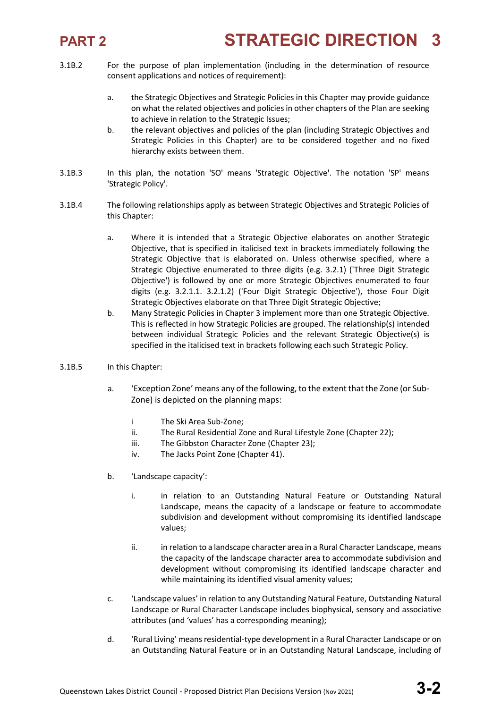

- 3.1B.2 For the purpose of plan implementation (including in the determination of resource consent applications and notices of requirement):
	- a. the Strategic Objectives and Strategic Policies in this Chapter may provide guidance on what the related objectives and policies in other chapters of the Plan are seeking to achieve in relation to the Strategic Issues;
	- b. the relevant objectives and policies of the plan (including Strategic Objectives and Strategic Policies in this Chapter) are to be considered together and no fixed hierarchy exists between them.
- 3.1B.3 In this plan, the notation 'SO' means 'Strategic Objective'. The notation 'SP' means 'Strategic Policy'.
- 3.1B.4 The following relationships apply as between Strategic Objectives and Strategic Policies of this Chapter:
	- a. Where it is intended that a Strategic Objective elaborates on another Strategic Objective, that is specified in italicised text in brackets immediately following the Strategic Objective that is elaborated on. Unless otherwise specified, where a Strategic Objective enumerated to three digits (e.g. 3.2.1) ('Three Digit Strategic Objective') is followed by one or more Strategic Objectives enumerated to four digits (e.g. 3.2.1.1. 3.2.1.2) ('Four Digit Strategic Objective'), those Four Digit Strategic Objectives elaborate on that Three Digit Strategic Objective;
	- b. Many Strategic Policies in Chapter 3 implement more than one Strategic Objective. This is reflected in how Strategic Policies are grouped. The relationship(s) intended between individual Strategic Policies and the relevant Strategic Objective(s) is specified in the italicised text in brackets following each such Strategic Policy.
- 3.1B.5 In this Chapter:
	- a. 'Exception Zone' means any of the following, to the extent that the Zone (or Sub-Zone) is depicted on the planning maps:
		- i The Ski Area Sub-Zone;
		- ii. The Rural Residential Zone and Rural Lifestyle Zone (Chapter 22);
		- iii. The Gibbston Character Zone (Chapter 23);
		- iv. The Jacks Point Zone (Chapter 41).
	- b. 'Landscape capacity':
		- i. in relation to an Outstanding Natural Feature or Outstanding Natural Landscape, means the capacity of a landscape or feature to accommodate subdivision and development without compromising its identified landscape values;
		- ii. in relation to a landscape character area in a Rural Character Landscape, means the capacity of the landscape character area to accommodate subdivision and development without compromising its identified landscape character and while maintaining its identified visual amenity values;
	- c. 'Landscape values' in relation to any Outstanding Natural Feature, Outstanding Natural Landscape or Rural Character Landscape includes biophysical, sensory and associative attributes (and 'values' has a corresponding meaning);
	- d. 'Rural Living' means residential-type development in a Rural Character Landscape or on an Outstanding Natural Feature or in an Outstanding Natural Landscape, including of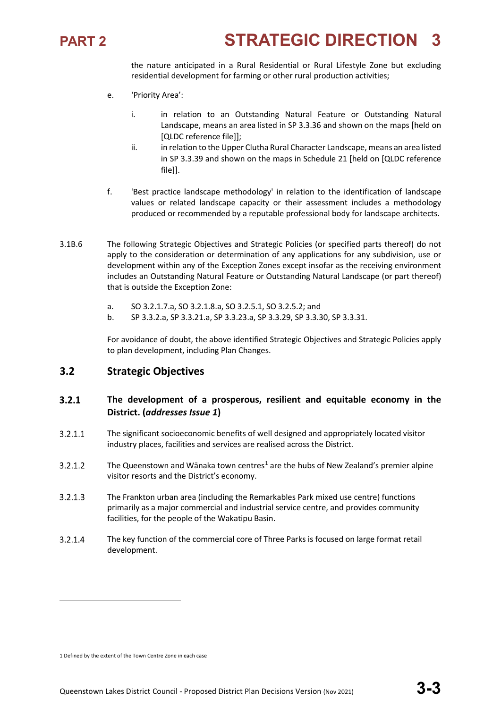

the nature anticipated in a Rural Residential or Rural Lifestyle Zone but excluding residential development for farming or other rural production activities;

- e. 'Priority Area':
	- i. in relation to an Outstanding Natural Feature or Outstanding Natural Landscape, means an area listed in SP 3.3.36 and shown on the maps [held on [QLDC reference file]];
	- ii. in relation to the Upper Clutha Rural Character Landscape, means an area listed in SP 3.3.39 and shown on the maps in Schedule 21 [held on [QLDC reference file]].
- f. 'Best practice landscape methodology' in relation to the identification of landscape values or related landscape capacity or their assessment includes a methodology produced or recommended by a reputable professional body for landscape architects.
- 3.1B.6 The following Strategic Objectives and Strategic Policies (or specified parts thereof) do not apply to the consideration or determination of any applications for any subdivision, use or development within any of the Exception Zones except insofar as the receiving environment includes an Outstanding Natural Feature or Outstanding Natural Landscape (or part thereof) that is outside the Exception Zone:
	- a. SO 3.2.1.7.a, SO 3.2.1.8.a, SO 3.2.5.1, SO 3.2.5.2; and
	- b. SP 3.3.2.a, SP 3.3.21.a, SP 3.3.23.a, SP 3.3.29, SP 3.3.30, SP 3.3.31.

For avoidance of doubt, the above identified Strategic Objectives and Strategic Policies apply to plan development, including Plan Changes.

## **3.2 Strategic Objectives**

### $3.2.1$ **The development of a prosperous, resilient and equitable economy in the District. (***addresses Issue 1***)**

- $3.2.1.1$ The significant socioeconomic benefits of well designed and appropriately located visitor industry places, facilities and services are realised across the District.
- The Queenstown and Wānaka town centres<sup>[1](#page-2-0)</sup> are the hubs of New Zealand's premier alpine  $3.2.1.2$ visitor resorts and the District's economy.
- $3.2.1.3$ The Frankton urban area (including the Remarkables Park mixed use centre) functions primarily as a major commercial and industrial service centre, and provides community facilities, for the people of the Wakatipu Basin.
- $3.2.1.4$ The key function of the commercial core of Three Parks is focused on large format retail development.

**.** 

<span id="page-2-0"></span><sup>1</sup> Defined by the extent of the Town Centre Zone in each case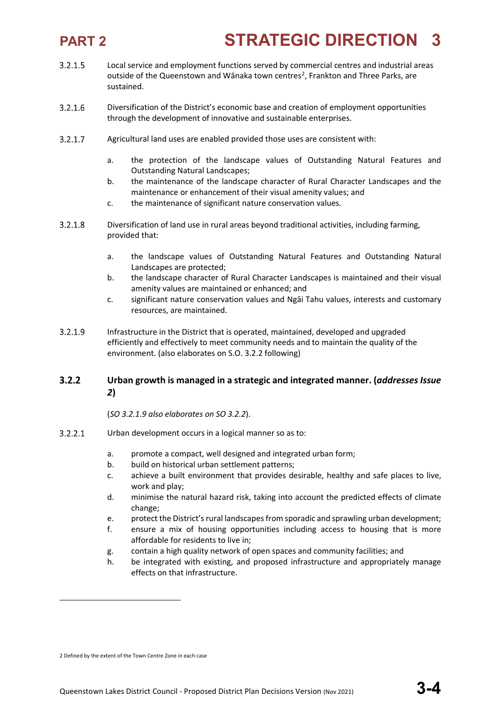- $3.2.1.5$ Local service and employment functions served by commercial centres and industrial areas outside of the Queenstown and Wānaka town centres<sup>[2](#page-3-0)</sup>, Frankton and Three Parks, are sustained.
- $3.2.1.6$ Diversification of the District's economic base and creation of employment opportunities through the development of innovative and sustainable enterprises.
- $3.2.1.7$ Agricultural land uses are enabled provided those uses are consistent with:
	- a. the protection of the landscape values of Outstanding Natural Features and Outstanding Natural Landscapes;
	- b. the maintenance of the landscape character of Rural Character Landscapes and the maintenance or enhancement of their visual amenity values; and
	- c. the maintenance of significant nature conservation values.
- $3.2.1.8$ Diversification of land use in rural areas beyond traditional activities, including farming, provided that:
	- a. the landscape values of Outstanding Natural Features and Outstanding Natural Landscapes are protected;
	- b. the landscape character of Rural Character Landscapes is maintained and their visual amenity values are maintained or enhanced; and
	- c. significant nature conservation values and Ngāi Tahu values, interests and customary resources, are maintained.
- $3.2.1.9$ Infrastructure in the District that is operated, maintained, developed and upgraded efficiently and effectively to meet community needs and to maintain the quality of the environment. (also elaborates on S.O. 3.2.2 following)

### $3.2.2$ **Urban growth is managed in a strategic and integrated manner. (***addresses Issue 2***)**

(*SO 3.2.1.9 also elaborates on SO 3.2.2*).

- $3.2.2.1$ Urban development occurs in a logical manner so as to:
	- a. promote a compact, well designed and integrated urban form;
	- b. build on historical urban settlement patterns;
	- c. achieve a built environment that provides desirable, healthy and safe places to live, work and play;
	- d. minimise the natural hazard risk, taking into account the predicted effects of climate change;
	- e. protect the District's rural landscapes from sporadic and sprawling urban development;
	- f. ensure a mix of housing opportunities including access to housing that is more affordable for residents to live in;
	- g. contain a high quality network of open spaces and community facilities; and
	- h. be integrated with existing, and proposed infrastructure and appropriately manage effects on that infrastructure.

**.** 

<span id="page-3-0"></span><sup>2</sup> Defined by the extent of the Town Centre Zone in each case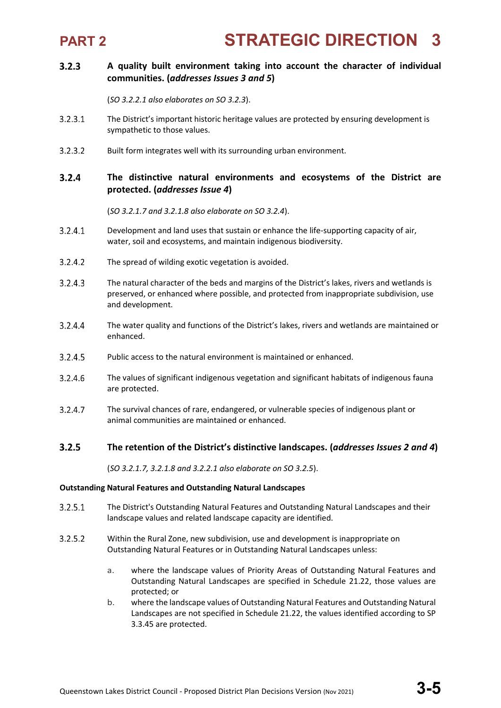

### $3.2.3$ **A quality built environment taking into account the character of individual communities. (***addresses Issues 3 and 5***)**

(*SO 3.2.2.1 also elaborates on SO 3.2.3*).

- $3.2.3.1$ The District's important historic heritage values are protected by ensuring development is sympathetic to those values.
- $3.2.3.2$ Built form integrates well with its surrounding urban environment.

### $3.2.4$ **The distinctive natural environments and ecosystems of the District are protected. (***addresses Issue 4***)**

(*SO 3.2.1.7 and 3.2.1.8 also elaborate on SO 3.2.4*).

- $3.2.4.1$ Development and land uses that sustain or enhance the life-supporting capacity of air, water, soil and ecosystems, and maintain indigenous biodiversity.
- $3.2.4.2$ The spread of wilding exotic vegetation is avoided.
- $3.2.4.3$ The natural character of the beds and margins of the District's lakes, rivers and wetlands is preserved, or enhanced where possible, and protected from inappropriate subdivision, use and development.
- 3.2.4.4 The water quality and functions of the District's lakes, rivers and wetlands are maintained or enhanced.
- 3.2.4.5 Public access to the natural environment is maintained or enhanced.
- 3.2.4.6 The values of significant indigenous vegetation and significant habitats of indigenous fauna are protected.
- $3.2.4.7$ The survival chances of rare, endangered, or vulnerable species of indigenous plant or animal communities are maintained or enhanced.

### $3.2.5$ **The retention of the District's distinctive landscapes. (***addresses Issues 2 and 4***)**

(*SO 3.2.1.7, 3.2.1.8 and 3.2.2.1 also elaborate on SO 3.2.5*).

### **Outstanding Natural Features and Outstanding Natural Landscapes**

- $3.2.5.1$ The District's Outstanding Natural Features and Outstanding Natural Landscapes and their landscape values and related landscape capacity are identified.
- $3.2.5.2$ Within the Rural Zone, new subdivision, use and development is inappropriate on Outstanding Natural Features or in Outstanding Natural Landscapes unless:
	- a. where the landscape values of Priority Areas of Outstanding Natural Features and Outstanding Natural Landscapes are specified in Schedule 21.22, those values are protected; or
	- b. where the landscape values of Outstanding Natural Features and Outstanding Natural Landscapes are not specified in Schedule 21.22, the values identified according to SP 3.3.45 are protected.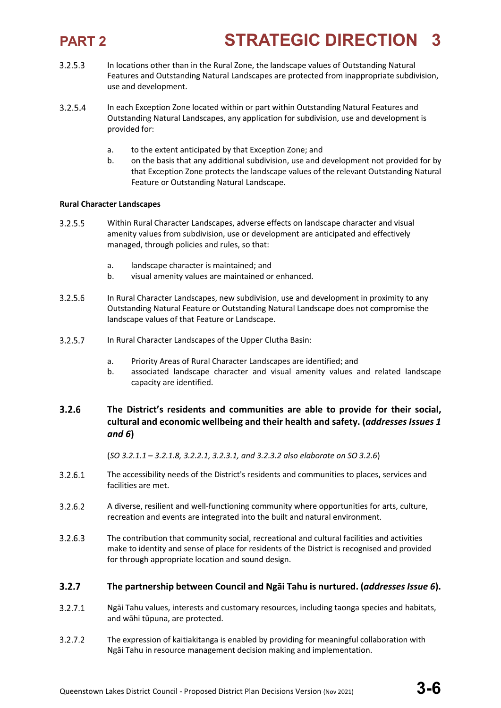- $3.2.5.3$ In locations other than in the Rural Zone, the landscape values of Outstanding Natural Features and Outstanding Natural Landscapes are protected from inappropriate subdivision, use and development.
- $3.2.5.4$ In each Exception Zone located within or part within Outstanding Natural Features and Outstanding Natural Landscapes, any application for subdivision, use and development is provided for:
	- a. to the extent anticipated by that Exception Zone; and
	- b. on the basis that any additional subdivision, use and development not provided for by that Exception Zone protects the landscape values of the relevant Outstanding Natural Feature or Outstanding Natural Landscape.

### **Rural Character Landscapes**

- $3.2.5.5$ Within Rural Character Landscapes, adverse effects on landscape character and visual amenity values from subdivision, use or development are anticipated and effectively managed, through policies and rules, so that:
	- a. landscape character is maintained; and
	- b. visual amenity values are maintained or enhanced.
- 3.2.5.6 In Rural Character Landscapes, new subdivision, use and development in proximity to any Outstanding Natural Feature or Outstanding Natural Landscape does not compromise the landscape values of that Feature or Landscape.
- $3.2.5.7$ In Rural Character Landscapes of the Upper Clutha Basin:
	- a. Priority Areas of Rural Character Landscapes are identified; and
	- b. associated landscape character and visual amenity values and related landscape capacity are identified.

### $3.2.6$ **The District's residents and communities are able to provide for their social, cultural and economic wellbeing and their health and safety. (***addresses Issues 1 and 6***)**

(*SO 3.2.1.1 – 3.2.1.8, 3.2.2.1, 3.2.3.1, and 3.2.3.2 also elaborate on SO 3.2.6*)

- $3.2.6.1$ The accessibility needs of the District's residents and communities to places, services and facilities are met.
- $3.2.6.2$ A diverse, resilient and well-functioning community where opportunities for arts, culture, recreation and events are integrated into the built and natural environment.
- $3.2.6.3$ The contribution that community social, recreational and cultural facilities and activities make to identity and sense of place for residents of the District is recognised and provided for through appropriate location and sound design.

### $3.2.7$ **The partnership between Council and Ngāi Tahu is nurtured. (***addresses Issue 6***).**

- $3.2.7.1$ Ngāi Tahu values, interests and customary resources, including taonga species and habitats, and wāhi tūpuna, are protected.
- $3.2.7.2$ The expression of kaitiakitanga is enabled by providing for meaningful collaboration with Ngāi Tahu in resource management decision making and implementation.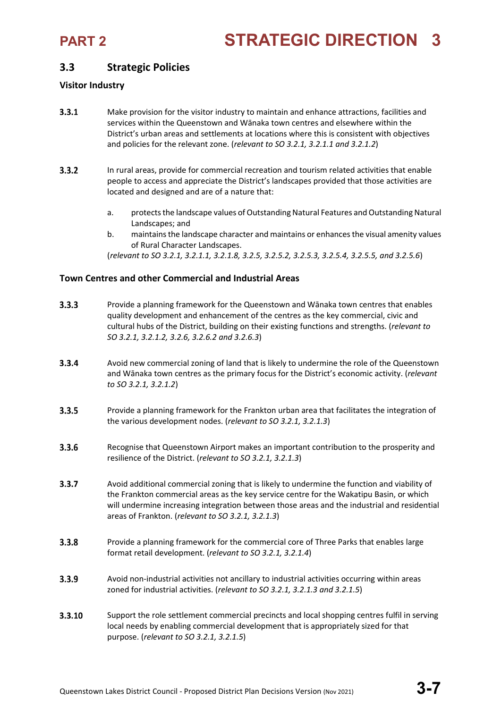## **3.3 Strategic Policies**

### **Visitor Industry**

- $3.3.1$ Make provision for the visitor industry to maintain and enhance attractions, facilities and services within the Queenstown and Wānaka town centres and elsewhere within the District's urban areas and settlements at locations where this is consistent with objectives and policies for the relevant zone. (*relevant to SO 3.2.1, 3.2.1.1 and 3.2.1.2*)
- $3.3.2$ In rural areas, provide for commercial recreation and tourism related activities that enable people to access and appreciate the District's landscapes provided that those activities are located and designed and are of a nature that:
	- a. protects the landscape values of Outstanding Natural Features and Outstanding Natural Landscapes; and
	- b. maintains the landscape character and maintains or enhances the visual amenity values of Rural Character Landscapes.

(*relevant to SO 3.2.1, 3.2.1.1, 3.2.1.8, 3.2.5, 3.2.5.2, 3.2.5.3, 3.2.5.4, 3.2.5.5, and 3.2.5.6*)

### **Town Centres and other Commercial and Industrial Areas**

- $3.3.3$ Provide a planning framework for the Queenstown and Wānaka town centres that enables quality development and enhancement of the centres as the key commercial, civic and cultural hubs of the District, building on their existing functions and strengths. (*relevant to SO 3.2.1, 3.2.1.2, 3.2.6, 3.2.6.2 and 3.2.6.3*)
- $3.3.4$ Avoid new commercial zoning of land that is likely to undermine the role of the Queenstown and Wānaka town centres as the primary focus for the District's economic activity. (*relevant to SO 3.2.1, 3.2.1.2*)
- $3.3.5$ Provide a planning framework for the Frankton urban area that facilitates the integration of the various development nodes. (*relevant to SO 3.2.1, 3.2.1.3*)
- $3.3.6$ Recognise that Queenstown Airport makes an important contribution to the prosperity and resilience of the District. (*relevant to SO 3.2.1, 3.2.1.3*)
- $3.3.7$ Avoid additional commercial zoning that is likely to undermine the function and viability of the Frankton commercial areas as the key service centre for the Wakatipu Basin, or which will undermine increasing integration between those areas and the industrial and residential areas of Frankton. (*relevant to SO 3.2.1, 3.2.1.3*)
- $3.3.8$ Provide a planning framework for the commercial core of Three Parks that enables large format retail development. (*relevant to SO 3.2.1, 3.2.1.4*)
- $3.3.9$ Avoid non-industrial activities not ancillary to industrial activities occurring within areas zoned for industrial activities. (*relevant to SO 3.2.1, 3.2.1.3 and 3.2.1.5*)
- 3.3.10 Support the role settlement commercial precincts and local shopping centres fulfil in serving local needs by enabling commercial development that is appropriately sized for that purpose. (*relevant to SO 3.2.1, 3.2.1.5*)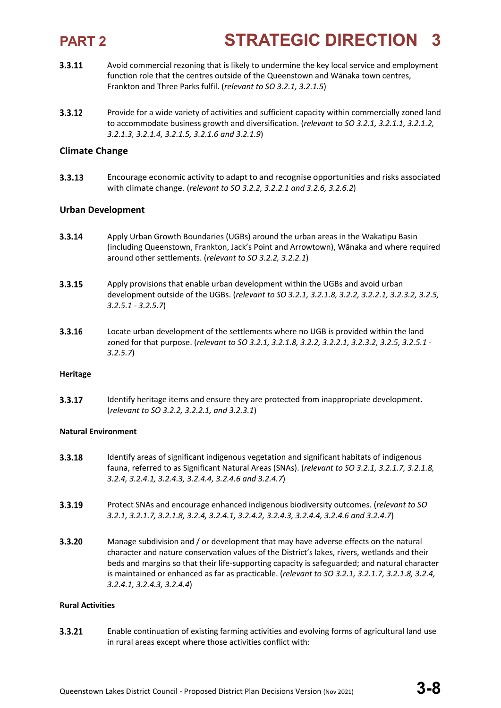- 3.3.11 Avoid commercial rezoning that is likely to undermine the key local service and employment function role that the centres outside of the Queenstown and Wānaka town centres, Frankton and Three Parks fulfil. (*relevant to SO 3.2.1, 3.2.1.5*)
- $3.3.12$ Provide for a wide variety of activities and sufficient capacity within commercially zoned land to accommodate business growth and diversification. (*relevant to SO 3.2.1, 3.2.1.1, 3.2.1.2, 3.2.1.3, 3.2.1.4, 3.2.1.5, 3.2.1.6 and 3.2.1.9*)

### **Climate Change**

3.3.13 Encourage economic activity to adapt to and recognise opportunities and risks associated with climate change. (*relevant to SO 3.2.2, 3.2.2.1 and 3.2.6, 3.2.6.2*)

### **Urban Development**

- 3.3.14 Apply Urban Growth Boundaries (UGBs) around the urban areas in the Wakatipu Basin (including Queenstown, Frankton, Jack's Point and Arrowtown), Wānaka and where required around other settlements. (*relevant to SO 3.2.2, 3.2.2.1*)
- 3.3.15 Apply provisions that enable urban development within the UGBs and avoid urban development outside of the UGBs. (*relevant to SO 3.2.1, 3.2.1.8, 3.2.2, 3.2.2.1, 3.2.3.2, 3.2.5, 3.2.5.1 - 3.2.5.7*)
- 3.3.16 Locate urban development of the settlements where no UGB is provided within the land zoned for that purpose. (*relevant to SO 3.2.1, 3.2.1.8, 3.2.2, 3.2.2.1, 3.2.3.2, 3.2.5, 3.2.5.1 - 3.2.5.7*)

### **Heritage**

3.3.17 Identify heritage items and ensure they are protected from inappropriate development. (*relevant to SO 3.2.2, 3.2.2.1, and 3.2.3.1*)

### **Natural Environment**

- 3.3.18 Identify areas of significant indigenous vegetation and significant habitats of indigenous fauna, referred to as Significant Natural Areas (SNAs). (*relevant to SO 3.2.1, 3.2.1.7, 3.2.1.8, 3.2.4, 3.2.4.1, 3.2.4.3, 3.2.4.4, 3.2.4.6 and 3.2.4.7*)
- 3.3.19 Protect SNAs and encourage enhanced indigenous biodiversity outcomes. (*relevant to SO 3.2.1, 3.2.1.7, 3.2.1.8, 3.2.4, 3.2.4.1, 3.2.4.2, 3.2.4.3, 3.2.4.4, 3.2.4.6 and 3.2.4.7*)
- 3.3.20 Manage subdivision and / or development that may have adverse effects on the natural character and nature conservation values of the District's lakes, rivers, wetlands and their beds and margins so that their life-supporting capacity is safeguarded; and natural character is maintained or enhanced as far as practicable. (*relevant to SO 3.2.1, 3.2.1.7, 3.2.1.8, 3.2.4, 3.2.4.1, 3.2.4.3, 3.2.4.4*)

### **Rural Activities**

 $3.3.21$ Enable continuation of existing farming activities and evolving forms of agricultural land use in rural areas except where those activities conflict with: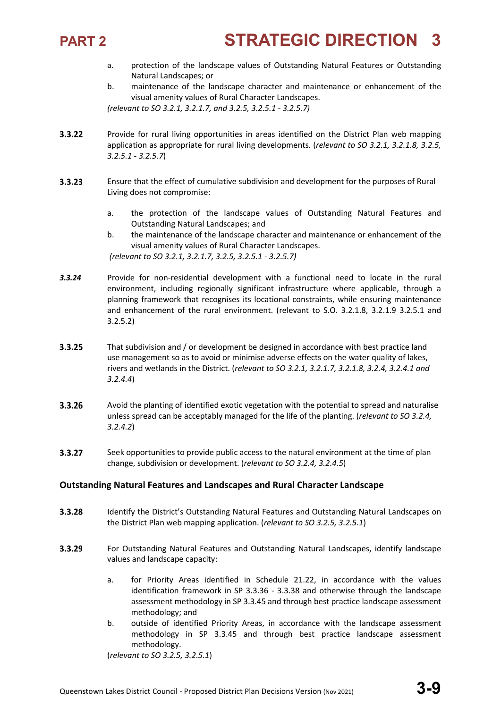

- a. protection of the landscape values of Outstanding Natural Features or Outstanding Natural Landscapes; or
- b. maintenance of the landscape character and maintenance or enhancement of the visual amenity values of Rural Character Landscapes.

*(relevant to SO 3.2.1, 3.2.1.7, and 3.2.5, 3.2.5.1 - 3.2.5.7)*

- $3.3.22$ Provide for rural living opportunities in areas identified on the District Plan web mapping application as appropriate for rural living developments. (*relevant to SO 3.2.1, 3.2.1.8, 3.2.5, 3.2.5.1 - 3.2.5.7*)
- $3.3.23$ Ensure that the effect of cumulative subdivision and development for the purposes of Rural Living does not compromise:
	- a. the protection of the landscape values of Outstanding Natural Features and Outstanding Natural Landscapes; and

b. the maintenance of the landscape character and maintenance or enhancement of the visual amenity values of Rural Character Landscapes. *(relevant to SO 3.2.1, 3.2.1.7, 3.2.5, 3.2.5.1 - 3.2.5.7)*

- *3.3.24* Provide for non-residential development with a functional need to locate in the rural environment, including regionally significant infrastructure where applicable, through a planning framework that recognises its locational constraints, while ensuring maintenance and enhancement of the rural environment. (relevant to S.O. 3.2.1.8, 3.2.1.9 3.2.5.1 and 3.2.5.2)
- $3.3.25$ That subdivision and / or development be designed in accordance with best practice land use management so as to avoid or minimise adverse effects on the water quality of lakes, rivers and wetlands in the District. (*relevant to SO 3.2.1, 3.2.1.7, 3.2.1.8, 3.2.4, 3.2.4.1 and 3.2.4.4*)
- 3.3.26 Avoid the planting of identified exotic vegetation with the potential to spread and naturalise unless spread can be acceptably managed for the life of the planting. (*relevant to SO 3.2.4, 3.2.4.2*)
- $3.3.27$ Seek opportunities to provide public access to the natural environment at the time of plan change, subdivision or development. (*relevant to SO 3.2.4, 3.2.4.5*)

### **Outstanding Natural Features and Landscapes and Rural Character Landscape**

- 3.3.28 Identify the District's Outstanding Natural Features and Outstanding Natural Landscapes on the District Plan web mapping application. (*relevant to SO 3.2.5, 3.2.5.1*)
- $3.3.29$ For Outstanding Natural Features and Outstanding Natural Landscapes, identify landscape values and landscape capacity:
	- a. for Priority Areas identified in Schedule 21.22, in accordance with the values identification framework in SP 3.3.36 - 3.3.38 and otherwise through the landscape assessment methodology in SP 3.3.45 and through best practice landscape assessment methodology; and
	- b. outside of identified Priority Areas, in accordance with the landscape assessment methodology in SP 3.3.45 and through best practice landscape assessment methodology.

(*relevant to SO 3.2.5, 3.2.5.1*)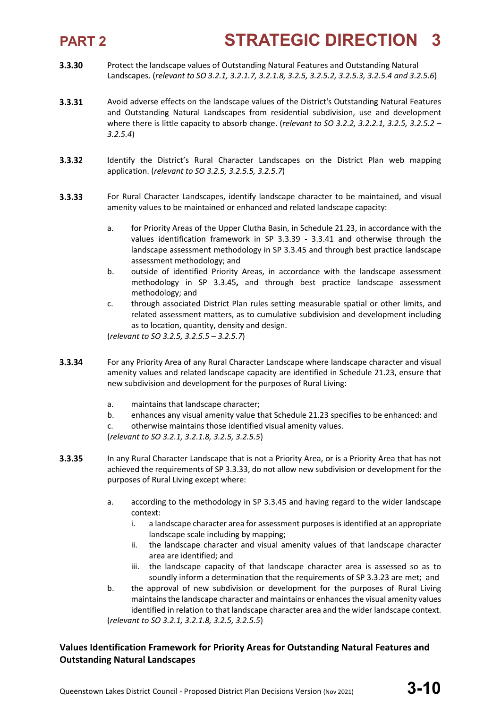- 3.3.30 Protect the landscape values of Outstanding Natural Features and Outstanding Natural Landscapes. (*relevant to SO 3.2.1, 3.2.1.7, 3.2.1.8, 3.2.5, 3.2.5.2, 3.2.5.3, 3.2.5.4 and 3.2.5.6*)
- 3.3.31 Avoid adverse effects on the landscape values of the District's Outstanding Natural Features and Outstanding Natural Landscapes from residential subdivision, use and development where there is little capacity to absorb change. (*relevant to SO 3.2.2, 3.2.2.1, 3.2.5, 3.2.5.2 – 3.2.5.4*)
- $3.3.32$ Identify the District's Rural Character Landscapes on the District Plan web mapping application. (*relevant to SO 3.2.5, 3.2.5.5, 3.2.5.7*)
- 3.3.33 For Rural Character Landscapes, identify landscape character to be maintained, and visual amenity values to be maintained or enhanced and related landscape capacity:
	- a. for Priority Areas of the Upper Clutha Basin, in Schedule 21.23, in accordance with the values identification framework in SP 3.3.39 - 3.3.41 and otherwise through the landscape assessment methodology in SP 3.3.45 and through best practice landscape assessment methodology; and
	- b. outside of identified Priority Areas, in accordance with the landscape assessment methodology in SP 3.3.45**,** and through best practice landscape assessment methodology; and
	- c. through associated District Plan rules setting measurable spatial or other limits, and related assessment matters, as to cumulative subdivision and development including as to location, quantity, density and design.

(*relevant to SO 3.2.5, 3.2.5.5 – 3.2.5.7*)

- 3.3.34 For any Priority Area of any Rural Character Landscape where landscape character and visual amenity values and related landscape capacity are identified in Schedule 21.23, ensure that new subdivision and development for the purposes of Rural Living:
	- a. maintains that landscape character;
	- b. enhances any visual amenity value that Schedule 21.23 specifies to be enhanced: and c. otherwise maintains those identified visual amenity values. (*relevant to SO 3.2.1, 3.2.1.8, 3.2.5, 3.2.5.5*)
- 3.3.35 In any Rural Character Landscape that is not a Priority Area, or is a Priority Area that has not achieved the requirements of SP 3.3.33, do not allow new subdivision or development for the purposes of Rural Living except where:
	- a. according to the methodology in SP 3.3.45 and having regard to the wider landscape context:
		- i. a landscape character area for assessment purposes is identified at an appropriate landscape scale including by mapping;
		- ii. the landscape character and visual amenity values of that landscape character area are identified; and
		- iii. the landscape capacity of that landscape character area is assessed so as to soundly inform a determination that the requirements of SP 3.3.23 are met; and
	- b. the approval of new subdivision or development for the purposes of Rural Living maintains the landscape character and maintains or enhances the visual amenity values identified in relation to that landscape character area and the wider landscape context. (*relevant to SO 3.2.1, 3.2.1.8, 3.2.5, 3.2.5.5*)

### **Values Identification Framework for Priority Areas for Outstanding Natural Features and Outstanding Natural Landscapes**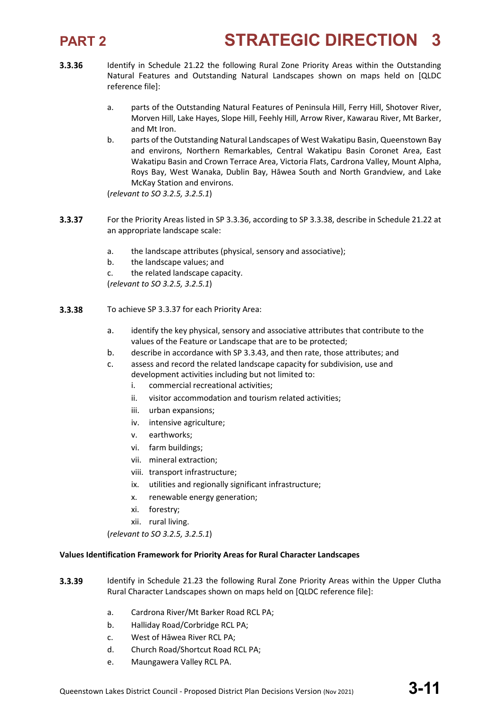

- 3.3.36 Identify in Schedule 21.22 the following Rural Zone Priority Areas within the Outstanding Natural Features and Outstanding Natural Landscapes shown on maps held on [QLDC reference file]:
	- a. parts of the Outstanding Natural Features of Peninsula Hill, Ferry Hill, Shotover River, Morven Hill, Lake Hayes, Slope Hill, Feehly Hill, Arrow River, Kawarau River, Mt Barker, and Mt Iron.
	- b. parts of the Outstanding Natural Landscapes of West Wakatipu Basin, Queenstown Bay and environs, Northern Remarkables, Central Wakatipu Basin Coronet Area, East Wakatipu Basin and Crown Terrace Area, Victoria Flats, Cardrona Valley, Mount Alpha, Roys Bay, West Wanaka, Dublin Bay, Hāwea South and North Grandview, and Lake McKay Station and environs.

(*relevant to SO 3.2.5, 3.2.5.1*)

- 3.3.37 For the Priority Areas listed in SP 3.3.36, according to SP 3.3.38, describe in Schedule 21.22 at an appropriate landscape scale:
	- a. the landscape attributes (physical, sensory and associative);
	- b. the landscape values; and
	- c. the related landscape capacity.

(*relevant to SO 3.2.5, 3.2.5.1*)

- 3.3.38 To achieve SP 3.3.37 for each Priority Area:
	- a. identify the key physical, sensory and associative attributes that contribute to the values of the Feature or Landscape that are to be protected;
	- b. describe in accordance with SP 3.3.43, and then rate, those attributes; and
	- c. assess and record the related landscape capacity for subdivision, use and development activities including but not limited to:
		- i. commercial recreational activities;
		- ii. visitor accommodation and tourism related activities;
		- iii. urban expansions;
		- iv. intensive agriculture;
		- v. earthworks;
		- vi. farm buildings;
		- vii. mineral extraction;
		- viii. transport infrastructure;
		- ix. utilities and regionally significant infrastructure;
		- x. renewable energy generation;
		- xi. forestry;
		- xii. rural living.

(*relevant to SO 3.2.5, 3.2.5.1*)

### **Values Identification Framework for Priority Areas for Rural Character Landscapes**

- 3.3.39 Identify in Schedule 21.23 the following Rural Zone Priority Areas within the Upper Clutha Rural Character Landscapes shown on maps held on [QLDC reference file]:
	- a. Cardrona River/Mt Barker Road RCL PA;
	- b. Halliday Road/Corbridge RCL PA;
	- c. West of Hāwea River RCL PA;
	- d. Church Road/Shortcut Road RCL PA;
	- e. Maungawera Valley RCL PA.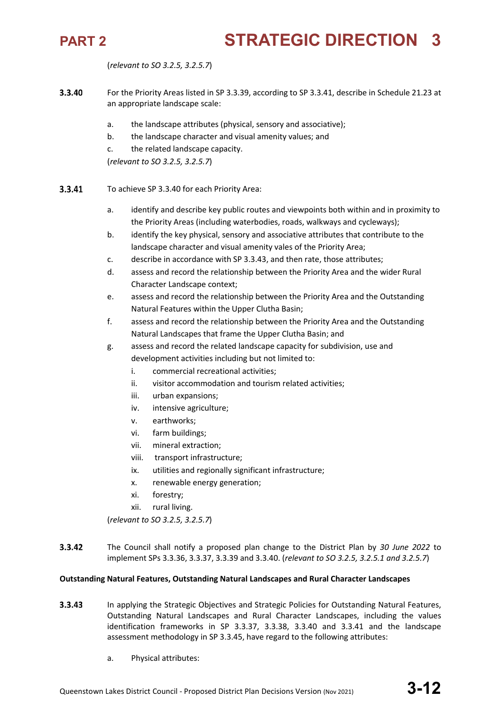(*relevant to SO 3.2.5, 3.2.5.7*)

- 3.3.40 For the Priority Areas listed in SP 3.3.39, according to SP 3.3.41, describe in Schedule 21.23 at an appropriate landscape scale:
	- a. the landscape attributes (physical, sensory and associative);
	- b. the landscape character and visual amenity values; and
	- c. the related landscape capacity.
	- (*relevant to SO 3.2.5, 3.2.5.7*)
- 3.3.41 To achieve SP 3.3.40 for each Priority Area:
	- a. identify and describe key public routes and viewpoints both within and in proximity to the Priority Areas (including waterbodies, roads, walkways and cycleways);
	- b. identify the key physical, sensory and associative attributes that contribute to the landscape character and visual amenity vales of the Priority Area;
	- c. describe in accordance with SP 3.3.43, and then rate, those attributes;
	- d. assess and record the relationship between the Priority Area and the wider Rural Character Landscape context;
	- e. assess and record the relationship between the Priority Area and the Outstanding Natural Features within the Upper Clutha Basin;
	- f. assess and record the relationship between the Priority Area and the Outstanding Natural Landscapes that frame the Upper Clutha Basin; and
	- g. assess and record the related landscape capacity for subdivision, use and development activities including but not limited to:
		- i. commercial recreational activities;
		- ii. visitor accommodation and tourism related activities;
		- iii. urban expansions;
		- iv. intensive agriculture;
		- v. earthworks;
		- vi. farm buildings;
		- vii. mineral extraction;
		- viii. transport infrastructure;
		- ix. utilities and regionally significant infrastructure;
		- x. renewable energy generation;
		- xi. forestry;
		- xii. rural living.

(*relevant to SO 3.2.5, 3.2.5.7*)

 $3.3.42$ The Council shall notify a proposed plan change to the District Plan by *30 June 2022* to implement SPs 3.3.36, 3.3.37, 3.3.39 and 3.3.40. (*relevant to SO 3.2.5, 3.2.5.1 and 3.2.5.7*)

### **Outstanding Natural Features, Outstanding Natural Landscapes and Rural Character Landscapes**

- $3.3.43$ In applying the Strategic Objectives and Strategic Policies for Outstanding Natural Features, Outstanding Natural Landscapes and Rural Character Landscapes, including the values identification frameworks in SP 3.3.37, 3.3.38, 3.3.40 and 3.3.41 and the landscape assessment methodology in SP 3.3.45, have regard to the following attributes:
	- a. Physical attributes: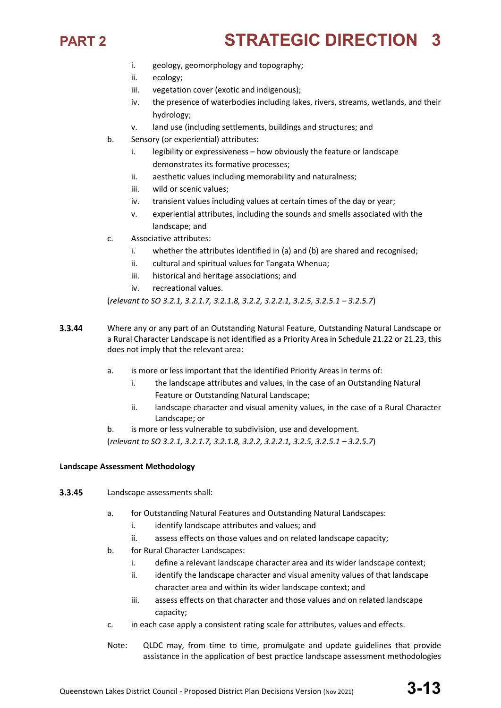- i. geology, geomorphology and topography;
- ii. ecology;
- iii. vegetation cover (exotic and indigenous);
- iv. the presence of waterbodies including lakes, rivers, streams, wetlands, and their hydrology;
- v. land use (including settlements, buildings and structures; and
- b. Sensory (or experiential) attributes:
	- i. legibility or expressiveness how obviously the feature or landscape demonstrates its formative processes;
	- ii. aesthetic values including memorability and naturalness;
	- iii. wild or scenic values;
	- iv. transient values including values at certain times of the day or year;
	- v. experiential attributes, including the sounds and smells associated with the landscape; and
- c. Associative attributes:
	- i. whether the attributes identified in (a) and (b) are shared and recognised;
	- ii. cultural and spiritual values for Tangata Whenua;
	- iii. historical and heritage associations; and
	- iv. recreational values.

(*relevant to SO 3.2.1, 3.2.1.7, 3.2.1.8, 3.2.2, 3.2.2.1, 3.2.5, 3.2.5.1 – 3.2.5.7*)

- 3.3.44 Where any or any part of an Outstanding Natural Feature, Outstanding Natural Landscape or a Rural Character Landscape is not identified as a Priority Area in Schedule 21.22 or 21.23, this does not imply that the relevant area:
	- a. is more or less important that the identified Priority Areas in terms of:
		- i. the landscape attributes and values, in the case of an Outstanding Natural Feature or Outstanding Natural Landscape;
		- ii. landscape character and visual amenity values, in the case of a Rural Character Landscape; or
	- b. is more or less vulnerable to subdivision, use and development.

(*relevant to SO 3.2.1, 3.2.1.7, 3.2.1.8, 3.2.2, 3.2.2.1, 3.2.5, 3.2.5.1 – 3.2.5.7*)

### **Landscape Assessment Methodology**

- 3.3.45 Landscape assessments shall:
	- a. for Outstanding Natural Features and Outstanding Natural Landscapes:
		- i. identify landscape attributes and values; and
		- ii. assess effects on those values and on related landscape capacity;
	- b. for Rural Character Landscapes:
		- i. define a relevant landscape character area and its wider landscape context;
		- ii. identify the landscape character and visual amenity values of that landscape character area and within its wider landscape context; and
		- iii. assess effects on that character and those values and on related landscape capacity;
	- c. in each case apply a consistent rating scale for attributes, values and effects.
	- Note: QLDC may, from time to time, promulgate and update guidelines that provide assistance in the application of best practice landscape assessment methodologies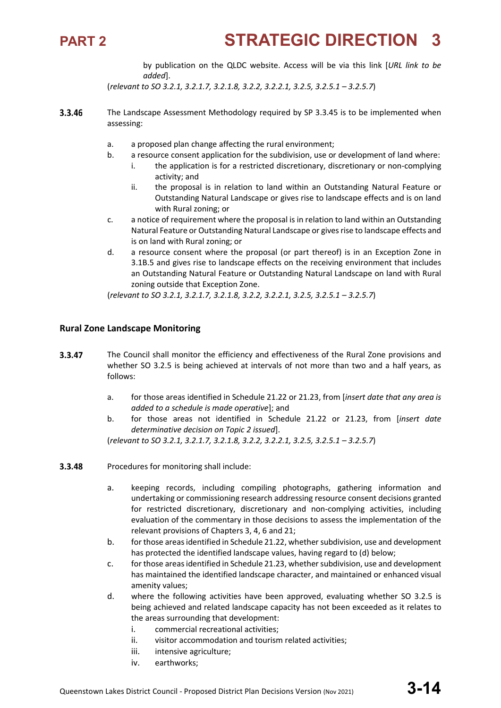

by publication on the QLDC website. Access will be via this link [*URL link to be added*].

(*relevant to SO 3.2.1, 3.2.1.7, 3.2.1.8, 3.2.2, 3.2.2.1, 3.2.5, 3.2.5.1 – 3.2.5.7*)

- 3.3.46 The Landscape Assessment Methodology required by SP 3.3.45 is to be implemented when assessing:
	- a. a proposed plan change affecting the rural environment;
	- b. a resource consent application for the subdivision, use or development of land where:
		- i. the application is for a restricted discretionary, discretionary or non-complying activity; and
		- ii. the proposal is in relation to land within an Outstanding Natural Feature or Outstanding Natural Landscape or gives rise to landscape effects and is on land with Rural zoning; or
	- c. a notice of requirement where the proposal is in relation to land within an Outstanding Natural Feature or Outstanding Natural Landscape or gives rise to landscape effects and is on land with Rural zoning; or
	- d. a resource consent where the proposal (or part thereof) is in an Exception Zone in 3.1B.5 and gives rise to landscape effects on the receiving environment that includes an Outstanding Natural Feature or Outstanding Natural Landscape on land with Rural zoning outside that Exception Zone.

(*relevant to SO 3.2.1, 3.2.1.7, 3.2.1.8, 3.2.2, 3.2.2.1, 3.2.5, 3.2.5.1 – 3.2.5.7*)

### **Rural Zone Landscape Monitoring**

- 3.3.47 The Council shall monitor the efficiency and effectiveness of the Rural Zone provisions and whether SO 3.2.5 is being achieved at intervals of not more than two and a half years, as follows:
	- a. for those areas identified in Schedule 21.22 or 21.23, from [*insert date that any area is added to a schedule is made operative*]; and
	- b. for those areas not identified in Schedule 21.22 or 21.23, from [*insert date determinative decision on Topic 2 issued*].

(*relevant to SO 3.2.1, 3.2.1.7, 3.2.1.8, 3.2.2, 3.2.2.1, 3.2.5, 3.2.5.1 – 3.2.5.7*)

- 3.3.48 Procedures for monitoring shall include:
	- a. keeping records, including compiling photographs, gathering information and undertaking or commissioning research addressing resource consent decisions granted for restricted discretionary, discretionary and non-complying activities, including evaluation of the commentary in those decisions to assess the implementation of the relevant provisions of Chapters 3, 4, 6 and 21;
	- b. for those areas identified in Schedule 21.22, whether subdivision, use and development has protected the identified landscape values, having regard to (d) below;
	- c. for those areas identified in Schedule 21.23, whether subdivision, use and development has maintained the identified landscape character, and maintained or enhanced visual amenity values;
	- d. where the following activities have been approved, evaluating whether SO 3.2.5 is being achieved and related landscape capacity has not been exceeded as it relates to the areas surrounding that development:
		- i. commercial recreational activities;
		- ii. visitor accommodation and tourism related activities;
		- iii. intensive agriculture;
		- iv. earthworks;